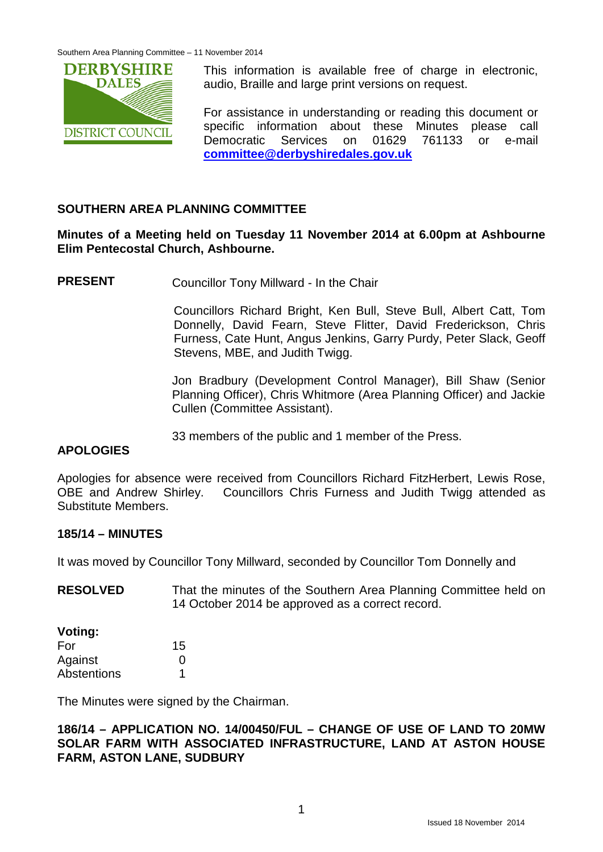

This information is available free of charge in electronic, audio, Braille and large print versions on request.

For assistance in understanding or reading this document or specific information about these Minutes please call Democratic Services on 01629 761133 or e-mail **[committee@derbyshiredales.gov.uk](mailto:committee@derbyshiredales.gov.uk)**

# **SOUTHERN AREA PLANNING COMMITTEE**

#### **Minutes of a Meeting held on Tuesday 11 November 2014 at 6.00pm at Ashbourne Elim Pentecostal Church, Ashbourne.**

**PRESENT** Councillor Tony Millward - In the Chair

Councillors Richard Bright, Ken Bull, Steve Bull, Albert Catt, Tom Donnelly, David Fearn, Steve Flitter, David Frederickson, Chris Furness, Cate Hunt, Angus Jenkins, Garry Purdy, Peter Slack, Geoff Stevens, MBE, and Judith Twigg.

Jon Bradbury (Development Control Manager), Bill Shaw (Senior Planning Officer), Chris Whitmore (Area Planning Officer) and Jackie Cullen (Committee Assistant).

33 members of the public and 1 member of the Press.

#### **APOLOGIES**

Apologies for absence were received from Councillors Richard FitzHerbert, Lewis Rose, OBE and Andrew Shirley. Councillors Chris Furness and Judith Twigg attended as Substitute Members.

#### **185/14 – MINUTES**

It was moved by Councillor Tony Millward, seconded by Councillor Tom Donnelly and

| <b>RESOLVED</b> | That the minutes of the Southern Area Planning Committee held on |
|-----------------|------------------------------------------------------------------|
|                 | 14 October 2014 be approved as a correct record.                 |

#### **Voting:**

| For         | 15 |
|-------------|----|
| Against     | O  |
| Abstentions |    |

The Minutes were signed by the Chairman.

**186/14 – APPLICATION NO. 14/00450/FUL – CHANGE OF USE OF LAND TO 20MW SOLAR FARM WITH ASSOCIATED INFRASTRUCTURE, LAND AT ASTON HOUSE FARM, ASTON LANE, SUDBURY**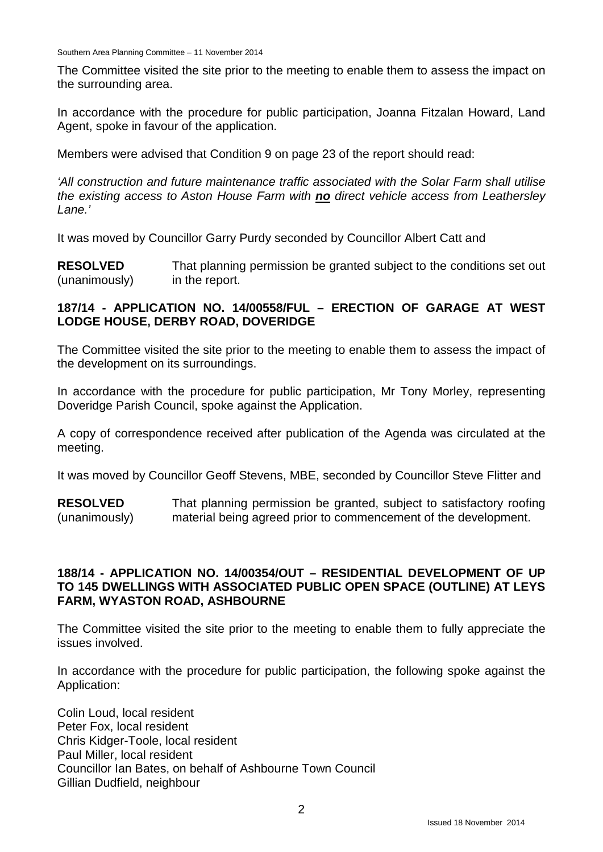Southern Area Planning Committee – 11 November 2014

The Committee visited the site prior to the meeting to enable them to assess the impact on the surrounding area.

In accordance with the procedure for public participation, Joanna Fitzalan Howard, Land Agent, spoke in favour of the application.

Members were advised that Condition 9 on page 23 of the report should read:

*'All construction and future maintenance traffic associated with the Solar Farm shall utilise the existing access to Aston House Farm with no direct vehicle access from Leathersley Lane.'*

It was moved by Councillor Garry Purdy seconded by Councillor Albert Catt and

**RESOLVED** (unanimously) That planning permission be granted subject to the conditions set out in the report.

### **187/14 - APPLICATION NO. 14/00558/FUL – ERECTION OF GARAGE AT WEST LODGE HOUSE, DERBY ROAD, DOVERIDGE**

The Committee visited the site prior to the meeting to enable them to assess the impact of the development on its surroundings.

In accordance with the procedure for public participation, Mr Tony Morley, representing Doveridge Parish Council, spoke against the Application.

A copy of correspondence received after publication of the Agenda was circulated at the meeting.

It was moved by Councillor Geoff Stevens, MBE, seconded by Councillor Steve Flitter and

**RESOLVED** (unanimously) That planning permission be granted, subject to satisfactory roofing material being agreed prior to commencement of the development.

#### **188/14 - APPLICATION NO. 14/00354/OUT – RESIDENTIAL DEVELOPMENT OF UP TO 145 DWELLINGS WITH ASSOCIATED PUBLIC OPEN SPACE (OUTLINE) AT LEYS FARM, WYASTON ROAD, ASHBOURNE**

The Committee visited the site prior to the meeting to enable them to fully appreciate the issues involved.

In accordance with the procedure for public participation, the following spoke against the Application:

Colin Loud, local resident Peter Fox, local resident Chris Kidger-Toole, local resident Paul Miller, local resident Councillor Ian Bates, on behalf of Ashbourne Town Council Gillian Dudfield, neighbour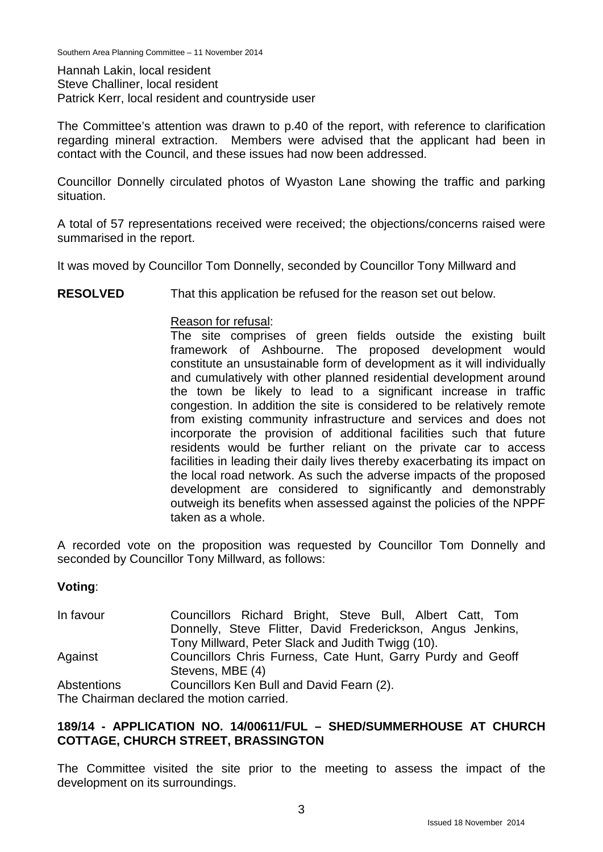Southern Area Planning Committee – 11 November 2014

Hannah Lakin, local resident Steve Challiner, local resident Patrick Kerr, local resident and countryside user

The Committee's attention was drawn to p.40 of the report, with reference to clarification regarding mineral extraction. Members were advised that the applicant had been in contact with the Council, and these issues had now been addressed.

Councillor Donnelly circulated photos of Wyaston Lane showing the traffic and parking situation.

A total of 57 representations received were received; the objections/concerns raised were summarised in the report.

It was moved by Councillor Tom Donnelly, seconded by Councillor Tony Millward and

**RESOLVED** That this application be refused for the reason set out below.

#### Reason for refusal:

The site comprises of green fields outside the existing built framework of Ashbourne. The proposed development would constitute an unsustainable form of development as it will individually and cumulatively with other planned residential development around the town be likely to lead to a significant increase in traffic congestion. In addition the site is considered to be relatively remote from existing community infrastructure and services and does not incorporate the provision of additional facilities such that future residents would be further reliant on the private car to access facilities in leading their daily lives thereby exacerbating its impact on the local road network. As such the adverse impacts of the proposed development are considered to significantly and demonstrably outweigh its benefits when assessed against the policies of the NPPF taken as a whole.

A recorded vote on the proposition was requested by Councillor Tom Donnelly and seconded by Councillor Tony Millward, as follows:

#### **Voting**:

In favour Councillors Richard Bright, Steve Bull, Albert Catt, Tom Donnelly, Steve Flitter, David Frederickson, Angus Jenkins, Tony Millward, Peter Slack and Judith Twigg (10). Against **Abstentions** Councillors Chris Furness, Cate Hunt, Garry Purdy and Geoff Stevens, MBE (4) Councillors Ken Bull and David Fearn (2). The Chairman declared the motion carried.

**189/14 - APPLICATION NO. 14/00611/FUL – SHED/SUMMERHOUSE AT CHURCH COTTAGE, CHURCH STREET, BRASSINGTON**

The Committee visited the site prior to the meeting to assess the impact of the development on its surroundings.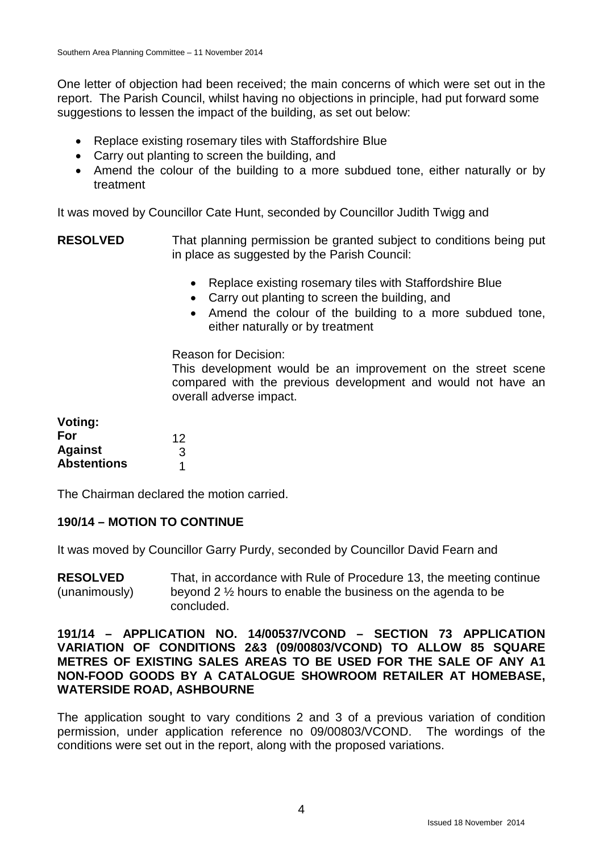One letter of objection had been received; the main concerns of which were set out in the report. The Parish Council, whilst having no objections in principle, had put forward some suggestions to lessen the impact of the building, as set out below:

- Replace existing rosemary tiles with Staffordshire Blue
- Carry out planting to screen the building, and
- Amend the colour of the building to a more subdued tone, either naturally or by treatment

It was moved by Councillor Cate Hunt, seconded by Councillor Judith Twigg and

**RESOLVED** That planning permission be granted subject to conditions being put in place as suggested by the Parish Council:

- Replace existing rosemary tiles with Staffordshire Blue
- Carry out planting to screen the building, and
- Amend the colour of the building to a more subdued tone, either naturally or by treatment

#### Reason for Decision:

This development would be an improvement on the street scene compared with the previous development and would not have an overall adverse impact.

| Voting:            |    |
|--------------------|----|
| For                | 12 |
| <b>Against</b>     | 3  |
| <b>Abstentions</b> | 1  |

The Chairman declared the motion carried.

# **190/14 – MOTION TO CONTINUE**

It was moved by Councillor Garry Purdy, seconded by Councillor David Fearn and

**RESOLVED** (unanimously) That, in accordance with Rule of Procedure 13, the meeting continue beyond 2 ½ hours to enable the business on the agenda to be concluded.

#### **191/14 – APPLICATION NO. 14/00537/VCOND – SECTION 73 APPLICATION VARIATION OF CONDITIONS 2&3 (09/00803/VCOND) TO ALLOW 85 SQUARE METRES OF EXISTING SALES AREAS TO BE USED FOR THE SALE OF ANY A1 NON-FOOD GOODS BY A CATALOGUE SHOWROOM RETAILER AT HOMEBASE, WATERSIDE ROAD, ASHBOURNE**

The application sought to vary conditions 2 and 3 of a previous variation of condition permission, under application reference no 09/00803/VCOND. The wordings of the conditions were set out in the report, along with the proposed variations.